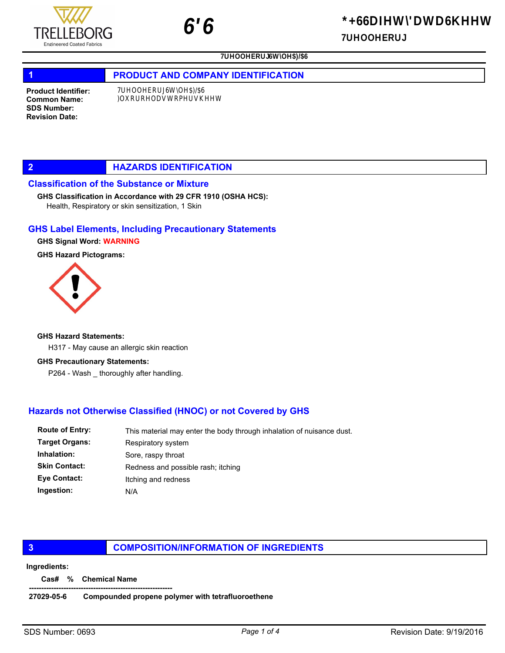## 1 **PRODUCT AND COMPANY IDENTIFICATION**

Product Identifier: Common Name: SDS Number: Revision Date:

## 2 **HAZARDS IDENTIFICATION**

## Classification of the Substance or Mixture

#### GHS Classification in Accordance with 29 CFR 1910 (OSHA HCS):

Health, Respiratory or skin sensitization, 1 Skin

## GHS Label Elements, Including Precautionary Statements

#### GHS Signal Word: WARNING

GHS Hazard Pictograms:



#### GHS Hazard Statements:

H317 - May cause an allergic skin reaction

#### GHS Precautionary Statements:

P264 - Wash \_ thoroughly after handling.

# Hazards not Otherwise Classified (HNOC) or not Covered by GHS

| <b>Route of Entry:</b> | This material may enter the body through inhalation of nuisance dust. |  |
|------------------------|-----------------------------------------------------------------------|--|
| <b>Target Organs:</b>  | Respiratory system                                                    |  |
| Inhalation:            | Sore, raspy throat                                                    |  |
| <b>Skin Contact:</b>   | Redness and possible rash; itching                                    |  |
| Eye Contact:           | Itching and redness                                                   |  |
| Ingestion:             | N/A                                                                   |  |
|                        |                                                                       |  |

#### **3 COMPOSITION/INFORMATION OF INGREDIENTS**

#### Ingredients:

Cas# % Chemical Name

#### ---------------------------------------------------------- 27029-05-6 Compounded propene polymer with tetrafluoroethene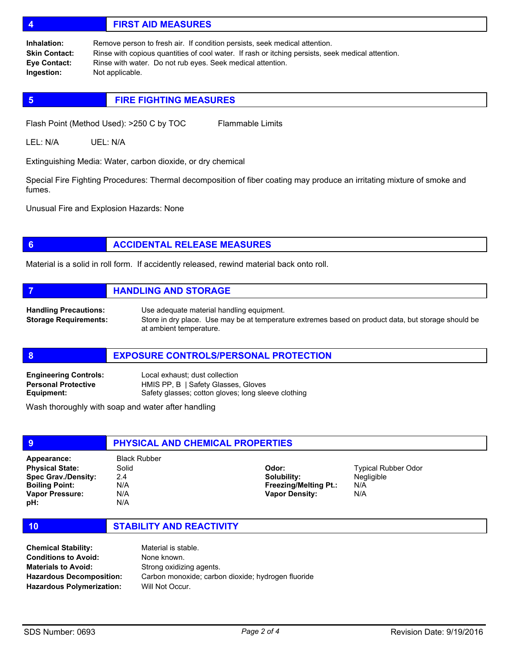# 4 FIRST AID MEASURES

Remove person to fresh air. If condition persists, seek medical attention. Rinse with copious quantities of cool water. If rash or itching persists, seek medical attention. Rinse with water. Do not rub eyes. Seek medical attention. Not applicable. Inhalation: Skin Contact: Eye Contact: Ingestion:

## **5 FIRE FIGHTING MEASURES**

Flash Point (Method Used): >250 C by TOC Flammable Limits

LEL: N/A UEL: N/A

Extinguishing Media: Water, carbon dioxide, or dry chemical

Special Fire Fighting Procedures: Thermal decomposition of fiber coating may produce an irritating mixture of smoke and fumes.

Unusual Fire and Explosion Hazards: None

# **6 ACCIDENTAL RELEASE MEASURES**

Material is a solid in roll form. If accidently released, rewind material back onto roll.

**7 HANDLING AND STORAGE** Use adequate material handling equipment. Store in dry place. Use may be at temperature extremes based on product data, but storage should be at ambient temperature. Handling Precautions: Storage Requirements:

#### 8 **BULGINIA EXPOSURE CONTROLS/PERSONAL PROTECTION**

| <b>Engineering Controls:</b> | Local exhaust; dust collection                      |
|------------------------------|-----------------------------------------------------|
| <b>Personal Protective</b>   | HMIS PP, B   Safety Glasses, Gloves                 |
| Equipment:                   | Safety glasses; cotton gloves; long sleeve clothing |

Wash thoroughly with soap and water after handling

| 9                          | <b>PHYSICAL AND CHEMICAL PROPERTIES</b> |                              |                            |  |
|----------------------------|-----------------------------------------|------------------------------|----------------------------|--|
| Appearance:                | <b>Black Rubber</b>                     |                              |                            |  |
| <b>Physical State:</b>     | Solid                                   | Odor:                        | <b>Typical Rubber Odor</b> |  |
| <b>Spec Grav./Density:</b> | 2.4                                     | Solubility:                  | <b>Negligible</b>          |  |
| <b>Boiling Point:</b>      | N/A                                     | <b>Freezing/Melting Pt.:</b> | N/A                        |  |
| Vapor Pressure:            | N/A                                     | <b>Vapor Density:</b>        | N/A                        |  |
| pH:                        | N/A                                     |                              |                            |  |

#### 10 STABILITY AND REACTIVITY

Material is stable. None known. Strong oxidizing agents. Carbon monoxide; carbon dioxide; hydrogen fluoride Will Not Occur. Chemical Stability: Conditions to Avoid: Materials to Avoid: Hazardous Decomposition: Hazardous Polymerization: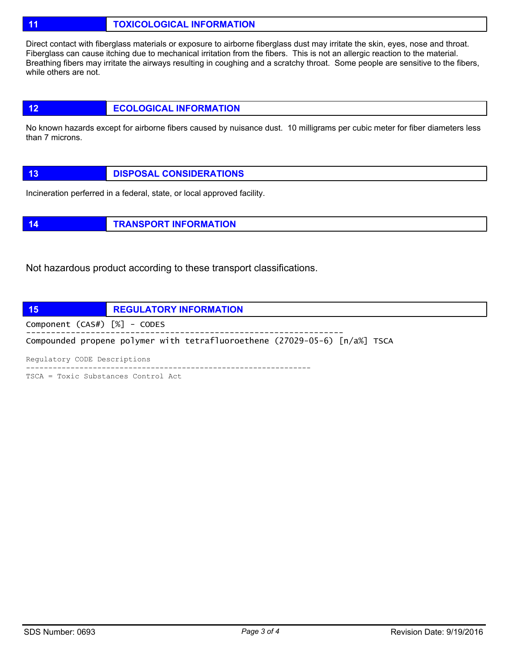# 11 **TOXICOLOGICAL INFORMATION**

Direct contact with fiberglass materials or exposure to airborne fiberglass dust may irritate the skin, eyes, nose and throat. Fiberglass can cause itching due to mechanical irritation from the fibers. This is not an allergic reaction to the material. Breathing fibers may irritate the airways resulting in coughing and a scratchy throat. Some people are sensitive to the fibers, while others are not.

# 12 **ECOLOGICAL INFORMATION**

No known hazards except for airborne fibers caused by nuisance dust. 10 milligrams per cubic meter for fiber diameters less than 7 microns.

|  | <b>DISPOSAL CONSIDERATIONS</b> |
|--|--------------------------------|
|--|--------------------------------|

Incineration perferred in a federal, state, or local approved facility.

14 **TRANSPORT INFORMATION** 

Not hazardous product according to these transport classifications.



TSCA = Toxic Substances Control Act